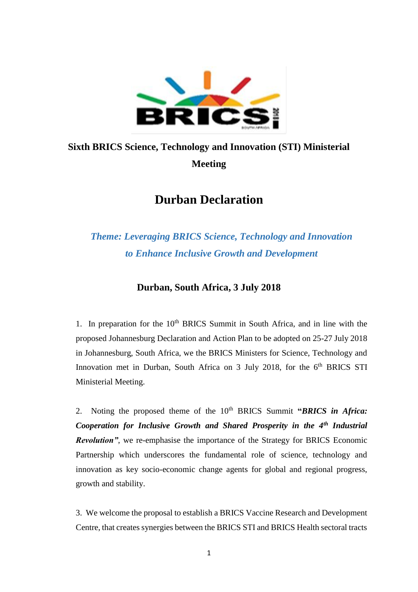

## **Sixth BRICS Science, Technology and Innovation (STI) Ministerial Meeting**

## **Durban Declaration**

## *Theme: Leveraging BRICS Science, Technology and Innovation to Enhance Inclusive Growth and Development*

## **Durban, South Africa, 3 July 2018**

1. In preparation for the  $10<sup>th</sup>$  BRICS Summit in South Africa, and in line with the proposed Johannesburg Declaration and Action Plan to be adopted on 25-27 July 2018 in Johannesburg, South Africa, we the BRICS Ministers for Science, Technology and Innovation met in Durban, South Africa on 3 July 2018, for the 6<sup>th</sup> BRICS STI Ministerial Meeting.

2. Noting the proposed theme of the 10<sup>th</sup> BRICS Summit "*BRICS in Africa: Cooperation for Inclusive Growth and Shared Prosperity in the 4th Industrial Revolution"*, we re-emphasise the importance of the Strategy for BRICS Economic Partnership which underscores the fundamental role of science, technology and innovation as key socio-economic change agents for global and regional progress, growth and stability.

3. We welcome the proposal to establish a BRICS Vaccine Research and Development Centre, that creates synergies between the BRICS STI and BRICS Health sectoral tracts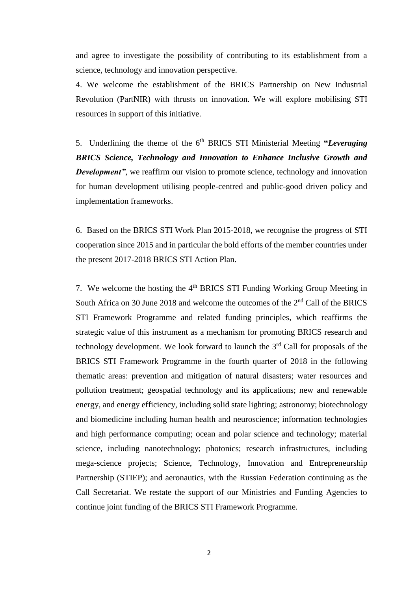and agree to investigate the possibility of contributing to its establishment from a science, technology and innovation perspective.

4. We welcome the establishment of the BRICS Partnership on New Industrial Revolution (PartNIR) with thrusts on innovation. We will explore mobilising STI resources in support of this initiative.

5. Underlining the theme of the 6<sup>th</sup> BRICS STI Ministerial Meeting "*Leveraging BRICS Science, Technology and Innovation to Enhance Inclusive Growth and Development"*, we reaffirm our vision to promote science, technology and innovation for human development utilising people-centred and public-good driven policy and implementation frameworks.

6. Based on the BRICS STI Work Plan 2015-2018, we recognise the progress of STI cooperation since 2015 and in particular the bold efforts of the member countries under the present 2017-2018 BRICS STI Action Plan.

7. We welcome the hosting the 4th BRICS STI Funding Working Group Meeting in South Africa on 30 June 2018 and welcome the outcomes of the 2nd Call of the BRICS STI Framework Programme and related funding principles, which reaffirms the strategic value of this instrument as a mechanism for promoting BRICS research and technology development. We look forward to launch the  $3<sup>rd</sup>$  Call for proposals of the BRICS STI Framework Programme in the fourth quarter of 2018 in the following thematic areas: prevention and mitigation of natural disasters; water resources and pollution treatment; geospatial technology and its applications; new and renewable energy, and energy efficiency, including solid state lighting; astronomy; biotechnology and biomedicine including human health and neuroscience; information technologies and high performance computing; ocean and polar science and technology; material science, including nanotechnology; photonics; research infrastructures, including mega-science projects; Science, Technology, Innovation and Entrepreneurship Partnership (STIEP); and aeronautics, with the Russian Federation continuing as the Call Secretariat. We restate the support of our Ministries and Funding Agencies to continue joint funding of the BRICS STI Framework Programme.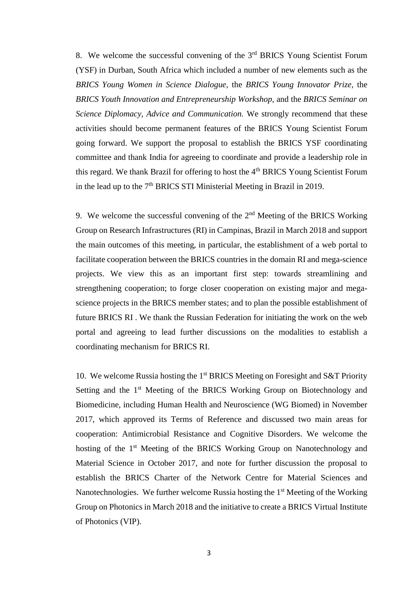8. We welcome the successful convening of the 3<sup>rd</sup> BRICS Young Scientist Forum (YSF) in Durban, South Africa which included a number of new elements such as the *BRICS Young Women in Science Dialogue,* the *BRICS Young Innovator Prize,* the *BRICS Youth Innovation and Entrepreneurship Workshop,* and the *BRICS Seminar on Science Diplomacy, Advice and Communication.* We strongly recommend that these activities should become permanent features of the BRICS Young Scientist Forum going forward. We support the proposal to establish the BRICS YSF coordinating committee and thank India for agreeing to coordinate and provide a leadership role in this regard. We thank Brazil for offering to host the  $4<sup>th</sup>$  BRICS Young Scientist Forum in the lead up to the  $7<sup>th</sup> BRICS STI M  
inisterial Meeting in Brazil in 2019.$ 

9. We welcome the successful convening of the  $2<sup>nd</sup>$  Meeting of the BRICS Working Group on Research Infrastructures (RI) in Campinas, Brazil in March 2018 and support the main outcomes of this meeting, in particular, the establishment of a web portal to facilitate cooperation between the BRICS countries in the domain RI and mega-science projects. We view this as an important first step: towards streamlining and strengthening cooperation; to forge closer cooperation on existing major and megascience projects in the BRICS member states; and to plan the possible establishment of future BRICS RI . We thank the Russian Federation for initiating the work on the web portal and agreeing to lead further discussions on the modalities to establish a coordinating mechanism for BRICS RI.

10. We welcome Russia hosting the  $1<sup>st</sup> BRICS$  Meeting on Foresight and S&T Priority Setting and the 1<sup>st</sup> Meeting of the BRICS Working Group on Biotechnology and Biomedicine, including Human Health and Neuroscience (WG Biomed) in November 2017, which approved its Terms of Reference and discussed two main areas for cooperation: Antimicrobial Resistance and Cognitive Disorders. We welcome the hosting of the 1<sup>st</sup> Meeting of the BRICS Working Group on Nanotechnology and Material Science in October 2017, and note for further discussion the proposal to establish the BRICS Charter of the Network Centre for Material Sciences and Nanotechnologies. We further welcome Russia hosting the 1<sup>st</sup> Meeting of the Working Group on Photonics in March 2018 and the initiative to create a BRICS Virtual Institute of Photonics (VIP).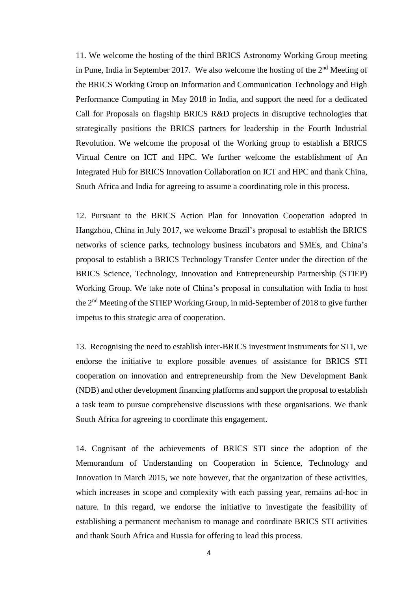11. We welcome the hosting of the third BRICS Astronomy Working Group meeting in Pune, India in September 2017. We also welcome the hosting of the  $2<sup>nd</sup>$  Meeting of the BRICS Working Group on Information and Communication Technology and High Performance Computing in May 2018 in India, and support the need for a dedicated Call for Proposals on flagship BRICS R&D projects in disruptive technologies that strategically positions the BRICS partners for leadership in the Fourth Industrial Revolution. We welcome the proposal of the Working group to establish a BRICS Virtual Centre on ICT and HPC. We further welcome the establishment of An Integrated Hub for BRICS Innovation Collaboration on ICT and HPC and thank China, South Africa and India for agreeing to assume a coordinating role in this process.

12. Pursuant to the BRICS Action Plan for Innovation Cooperation adopted in Hangzhou, China in July 2017, we welcome Brazil's proposal to establish the BRICS networks of science parks, technology business incubators and SMEs, and China's proposal to establish a BRICS Technology Transfer Center under the direction of the BRICS Science, Technology, Innovation and Entrepreneurship Partnership (STIEP) Working Group. We take note of China's proposal in consultation with India to host the 2<sup>nd</sup> Meeting of the STIEP Working Group, in mid-September of 2018 to give further impetus to this strategic area of cooperation.

13. Recognising the need to establish inter-BRICS investment instruments for STI, we endorse the initiative to explore possible avenues of assistance for BRICS STI cooperation on innovation and entrepreneurship from the New Development Bank (NDB) and other development financing platforms and support the proposal to establish a task team to pursue comprehensive discussions with these organisations. We thank South Africa for agreeing to coordinate this engagement.

14. Cognisant of the achievements of BRICS STI since the adoption of the Memorandum of Understanding on Cooperation in Science, Technology and Innovation in March 2015, we note however, that the organization of these activities, which increases in scope and complexity with each passing year, remains ad-hoc in nature. In this regard, we endorse the initiative to investigate the feasibility of establishing a permanent mechanism to manage and coordinate BRICS STI activities and thank South Africa and Russia for offering to lead this process.